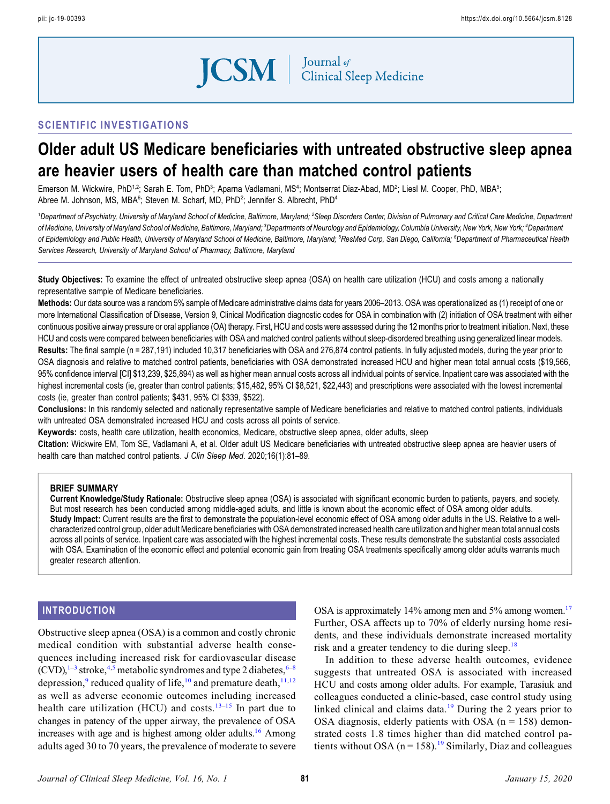

# SCIENTIFIC INVESTIGATIONS

# Older adult US Medicare beneficiaries with untreated obstructive sleep apnea are heavier users of health care than matched control patients

Emerson M. Wickwire, PhD<sup>1,2</sup>; Sarah E. Tom, PhD<sup>3</sup>; Aparna Vadlamani, MS<sup>4</sup>; Montserrat Diaz-Abad, MD<sup>2</sup>; Liesl M. Cooper, PhD, MBA<sup>5</sup>; Abree M. Johnson, MS, MBA<sup>6</sup>; Steven M. Scharf, MD, PhD<sup>2</sup>; Jennifer S. Albrecht, PhD<sup>4</sup>

<sup>1</sup>Department of Psychiatry, University of Maryland School of Medicine, Baltimore, Maryland; <sup>2</sup>Sleep Disorders Center, Division of Pulmonary and Critical Care Medicine, Department of Medicine, University of Maryland School of Medicine, Baltimore, Maryland; <sup>3</sup>Departments of Neurology and Epidemiology, Columbia University, New York, New York; <sup>4</sup>Department of Epidemiology and Public Health, University of Maryland School of Medicine, Baltimore, Maryland; <sup>5</sup>ResMed Corp, San Diego, California; <sup>6</sup>Department of Pharmaceutical Health Services Research, University of Maryland School of Pharmacy, Baltimore, Maryland

Study Objectives: To examine the effect of untreated obstructive sleep apnea (OSA) on health care utilization (HCU) and costs among a nationally representative sample of Medicare beneficiaries.

Methods: Our data source was a random 5% sample of Medicare administrative claims data for years 2006–2013. OSA was operationalized as (1) receipt of one or more International Classification of Disease, Version 9, Clinical Modification diagnostic codes for OSA in combination with (2) initiation of OSA treatment with either continuous positive airway pressure or oral appliance (OA) therapy. First, HCU and costs were assessed during the 12 months prior to treatment initiation. Next, these HCU and costs were compared between beneficiaries with OSA and matched control patients without sleep-disordered breathing using generalized linear models. Results: The final sample (n = 287,191) included 10,317 beneficiaries with OSA and 276,874 control patients. In fully adjusted models, during the year prior to OSA diagnosis and relative to matched control patients, beneficiaries with OSA demonstrated increased HCU and higher mean total annual costs (\$19,566, 95% confidence interval [CI] \$13,239, \$25,894) as well as higher mean annual costs across all individual points of service. Inpatient care was associated with the highest incremental costs (ie, greater than control patients; \$15,482, 95% CI \$8,521, \$22,443) and prescriptions were associated with the lowest incremental costs (ie, greater than control patients; \$431, 95% CI \$339, \$522).

Conclusions: In this randomly selected and nationally representative sample of Medicare beneficiaries and relative to matched control patients, individuals with untreated OSA demonstrated increased HCU and costs across all points of service.

Keywords: costs, health care utilization, health economics, Medicare, obstructive sleep apnea, older adults, sleep

Citation: Wickwire EM, Tom SE, Vadlamani A, et al. Older adult US Medicare beneficiaries with untreated obstructive sleep apnea are heavier users of health care than matched control patients. J Clin Sleep Med. 2020;16(1):81–89.

### BRIEF SUMMARY

Current Knowledge/Study Rationale: Obstructive sleep apnea (OSA) is associated with significant economic burden to patients, payers, and society. But most research has been conducted among middle-aged adults, and little is known about the economic effect of OSA among older adults. Study Impact: Current results are the first to demonstrate the population-level economic effect of OSA among older adults in the US. Relative to a wellcharacterized control group, older adult Medicare beneficiaries with OSA demonstrated increased health care utilization and higher mean total annual costs across all points of service. Inpatient care was associated with the highest incremental costs. These results demonstrate the substantial costs associated with OSA. Examination of the economic effect and potential economic gain from treating OSA treatments specifically among older adults warrants much greater research attention.

### INTRODUCTION

Obstructive sleep apnea (OSA) is a common and costly chronic medical condition with substantial adverse health consequences including increased risk for cardiovascular disease  $(CVD)$ ,<sup>1–[3](#page-7-0)</sup> stroke,<sup>[4,5](#page-7-0)</sup> metabolic syndromes and type 2 diabetes, <sup>6–[8](#page-7-0)</sup> depression,<sup>[9](#page-7-0)</sup> reduced quality of life,<sup>[10](#page-7-0)</sup> and premature death,<sup>[11,12](#page-7-0)</sup> as well as adverse economic outcomes including increased health care utilization (HCU) and costs.<sup>[13](#page-7-0)–[15](#page-7-0)</sup> In part due to changes in patency of the upper airway, the prevalence of OSA increases with age and is highest among older adults.<sup>16</sup> Among adults aged 30 to 70 years, the prevalence of moderate to severe OSA is approximately 14% among men and 5% among women.<sup>17</sup> Further, OSA affects up to 70% of elderly nursing home residents, and these individuals demonstrate increased mortality risk and a greater tendency to die during sleep.<sup>[18](#page-7-0)</sup>

In addition to these adverse health outcomes, evidence suggests that untreated OSA is associated with increased HCU and costs among older adults. For example, Tarasiuk and colleagues conducted a clinic-based, case control study using linked clinical and claims data.<sup>[19](#page-7-0)</sup> During the 2 years prior to OSA diagnosis, elderly patients with OSA ( $n = 158$ ) demonstrated costs 1.8 times higher than did matched control patients without OSA ( $n = 158$ ).<sup>[19](#page-7-0)</sup> Similarly, Diaz and colleagues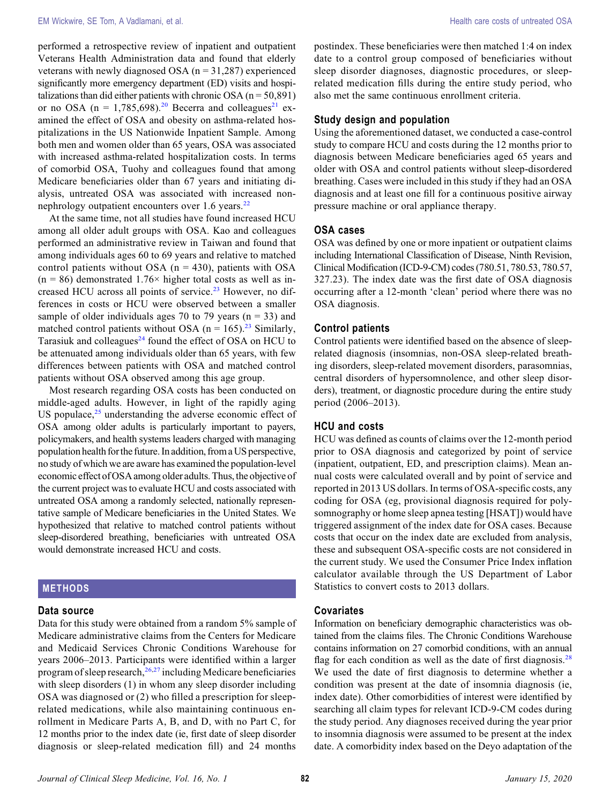performed a retrospective review of inpatient and outpatient Veterans Health Administration data and found that elderly veterans with newly diagnosed OSA ( $n = 31,287$ ) experienced significantly more emergency department (ED) visits and hospitalizations than did either patients with chronic OSA ( $n = 50,891$ ) or no OSA ( $n = 1,785,698$ ).<sup>[20](#page-7-0)</sup> Becerra and colleagues<sup>[21](#page-7-0)</sup> examined the effect of OSA and obesity on asthma-related hospitalizations in the US Nationwide Inpatient Sample. Among both men and women older than 65 years, OSA was associated with increased asthma-related hospitalization costs. In terms of comorbid OSA, Tuohy and colleagues found that among Medicare beneficiaries older than 67 years and initiating dialysis, untreated OSA was associated with increased nonnephrology outpatient encounters over  $1.6$  years.<sup>[22](#page-7-0)</sup>

At the same time, not all studies have found increased HCU among all older adult groups with OSA. Kao and colleagues performed an administrative review in Taiwan and found that among individuals ages 60 to 69 years and relative to matched control patients without OSA ( $n = 430$ ), patients with OSA  $(n = 86)$  demonstrated 1.76× higher total costs as well as in-creased HCU across all points of service.<sup>[23](#page-7-0)</sup> However, no differences in costs or HCU were observed between a smaller sample of older individuals ages 70 to 79 years ( $n = 33$ ) and matched control patients without OSA ( $n = 165$ ).<sup>[23](#page-7-0)</sup> Similarly, Tarasiuk and colleagues<sup>[24](#page-7-0)</sup> found the effect of OSA on HCU to be attenuated among individuals older than 65 years, with few differences between patients with OSA and matched control patients without OSA observed among this age group.

Most research regarding OSA costs has been conducted on middle-aged adults. However, in light of the rapidly aging US populace, $^{25}$  $^{25}$  $^{25}$  understanding the adverse economic effect of OSA among older adults is particularly important to payers, policymakers, and health systems leaders charged with managing population health forthe future. In addition, from a US perspective, no study of which we are aware has examined the population-level economic effect of OSA among older adults. Thus, the objective of the current project was to evaluate HCU and costs associated with untreated OSA among a randomly selected, nationally representative sample of Medicare beneficiaries in the United States. We hypothesized that relative to matched control patients without sleep-disordered breathing, beneficiaries with untreated OSA would demonstrate increased HCU and costs.

# METHODS

### Data source

Data for this study were obtained from a random 5% sample of Medicare administrative claims from the Centers for Medicare and Medicaid Services Chronic Conditions Warehouse for years 2006–2013. Participants were identified within a larger program of sleep research, $26,27$  including Medicare beneficiaries with sleep disorders (1) in whom any sleep disorder including OSA was diagnosed or (2) who filled a prescription for sleeprelated medications, while also maintaining continuous enrollment in Medicare Parts A, B, and D, with no Part C, for 12 months prior to the index date (ie, first date of sleep disorder diagnosis or sleep-related medication fill) and 24 months

postindex. These beneficiaries were then matched 1:4 on index date to a control group composed of beneficiaries without sleep disorder diagnoses, diagnostic procedures, or sleeprelated medication fills during the entire study period, who also met the same continuous enrollment criteria.

### Study design and population

Using the aforementioned dataset, we conducted a case-control study to compare HCU and costs during the 12 months prior to diagnosis between Medicare beneficiaries aged 65 years and older with OSA and control patients without sleep-disordered breathing. Cases were included in this study if they had an OSA diagnosis and at least one fill for a continuous positive airway pressure machine or oral appliance therapy.

### OSA cases

OSA was defined by one or more inpatient or outpatient claims including International Classification of Disease, Ninth Revision, Clinical Modification (ICD-9-CM) codes (780.51, 780.53, 780.57, 327.23). The index date was the first date of OSA diagnosis occurring after a 12-month 'clean' period where there was no OSA diagnosis.

### Control patients

Control patients were identified based on the absence of sleeprelated diagnosis (insomnias, non-OSA sleep-related breathing disorders, sleep-related movement disorders, parasomnias, central disorders of hypersomnolence, and other sleep disorders), treatment, or diagnostic procedure during the entire study period (2006–2013).

### HCU and costs

HCU was defined as counts of claims over the 12-month period prior to OSA diagnosis and categorized by point of service (inpatient, outpatient, ED, and prescription claims). Mean annual costs were calculated overall and by point of service and reported in 2013 US dollars. In terms of OSA-specific costs, any coding for OSA (eg, provisional diagnosis required for polysomnography or home sleep apnea testing [HSAT]) would have triggered assignment of the index date for OSA cases. Because costs that occur on the index date are excluded from analysis, these and subsequent OSA-specific costs are not considered in the current study. We used the Consumer Price Index inflation calculator available through the US Department of Labor Statistics to convert costs to 2013 dollars.

### Covariates

Information on beneficiary demographic characteristics was obtained from the claims files. The Chronic Conditions Warehouse contains information on 27 comorbid conditions, with an annual flag for each condition as well as the date of first diagnosis.<sup>[28](#page-7-0)</sup> We used the date of first diagnosis to determine whether a condition was present at the date of insomnia diagnosis (ie, index date). Other comorbidities of interest were identified by searching all claim types for relevant ICD-9-CM codes during the study period. Any diagnoses received during the year prior to insomnia diagnosis were assumed to be present at the index date. A comorbidity index based on the Deyo adaptation of the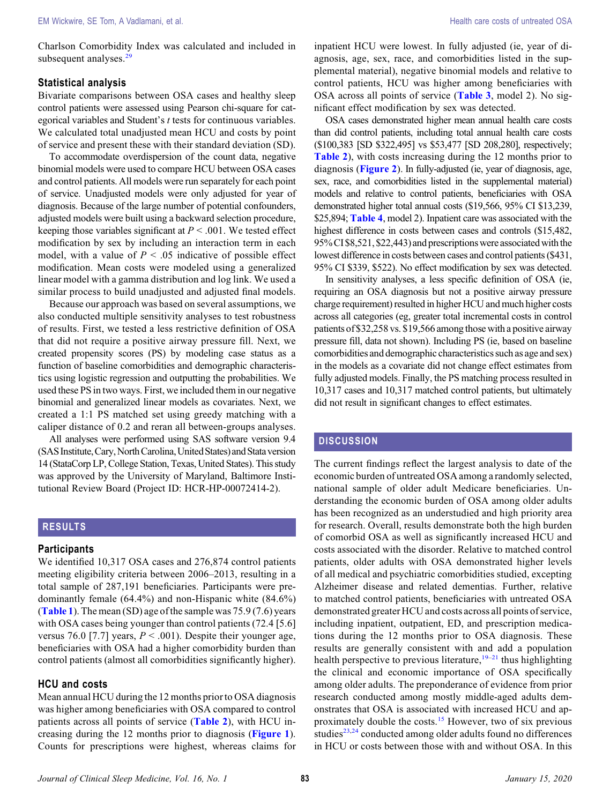Charlson Comorbidity Index was calculated and included in subsequent analyses.<sup>2</sup>

### Statistical analysis

Bivariate comparisons between OSA cases and healthy sleep control patients were assessed using Pearson chi-square for categorical variables and Student's t tests for continuous variables. We calculated total unadjusted mean HCU and costs by point of service and present these with their standard deviation (SD).

To accommodate overdispersion of the count data, negative binomial models were used to compare HCU between OSA cases and control patients. All models were run separately for each point of service. Unadjusted models were only adjusted for year of diagnosis. Because of the large number of potential confounders, adjusted models were built using a backward selection procedure, keeping those variables significant at  $P < .001$ . We tested effect modification by sex by including an interaction term in each model, with a value of  $P < .05$  indicative of possible effect modification. Mean costs were modeled using a generalized linear model with a gamma distribution and log link. We used a similar process to build unadjusted and adjusted final models.

Because our approach was based on several assumptions, we also conducted multiple sensitivity analyses to test robustness of results. First, we tested a less restrictive definition of OSA that did not require a positive airway pressure fill. Next, we created propensity scores (PS) by modeling case status as a function of baseline comorbidities and demographic characteristics using logistic regression and outputting the probabilities. We used these PS in two ways. First, we included them in our negative binomial and generalized linear models as covariates. Next, we created a 1:1 PS matched set using greedy matching with a caliper distance of 0.2 and reran all between-groups analyses.

All analyses were performed using SAS software version 9.4 (SAS Institute, Cary, North Carolina, United States) and Stata version 14 (StataCorp LP, College Station, Texas, United States). This study was approved by the University of Maryland, Baltimore Institutional Review Board (Project ID: HCR-HP-00072414-2).

# RESULTS

### **Participants**

We identified 10,317 OSA cases and 276,874 control patients meeting eligibility criteria between 2006–2013, resulting in a total sample of 287,191 beneficiaries. Participants were predominantly female (64.4%) and non-Hispanic white (84.6%) ([Table 1](#page-3-0)). The mean (SD) age of the sample was  $75.9(7.6)$  years with OSA cases being younger than control patients (72.4 [5.6] versus 76.0 [7.7] years,  $P < .001$ ). Despite their younger age, beneficiaries with OSA had a higher comorbidity burden than control patients (almost all comorbidities significantly higher).

### HCU and costs

Mean annual HCU during the 12 months prior to OSA diagnosis was higher among beneficiaries with OSA compared to control patients across all points of service ([Table 2](#page-4-0)), with HCU increasing during the 12 months prior to diagnosis ([Figure 1](#page-4-0)). Counts for prescriptions were highest, whereas claims for

inpatient HCU were lowest. In fully adjusted (ie, year of diagnosis, age, sex, race, and comorbidities listed in the supplemental material), negative binomial models and relative to control patients, HCU was higher among beneficiaries with OSA across all points of service (**[Table 3](#page-5-0)**, model 2). No significant effect modification by sex was detected.

OSA cases demonstrated higher mean annual health care costs than did control patients, including total annual health care costs (\$100,383 [SD \$322,495] vs \$53,477 [SD 208,280], respectively; [Table 2](#page-4-0)), with costs increasing during the 12 months prior to diagnosis ([Figure 2](#page-5-0)). In fully-adjusted (ie, year of diagnosis, age, sex, race, and comorbidities listed in the supplemental material) models and relative to control patients, beneficiaries with OSA demonstrated higher total annual costs (\$19,566, 95% CI \$13,239, \$25,894; [Table 4](#page-6-0), model 2). Inpatient care was associated with the highest difference in costs between cases and controls (\$15,482, 95% CI \$8,521, \$22,443) and prescriptions were associated with the lowest difference in costs between cases and control patients (\$431, 95% CI \$339, \$522). No effect modification by sex was detected.

In sensitivity analyses, a less specific definition of OSA (ie, requiring an OSA diagnosis but not a positive airway pressure charge requirement) resulted in higher HCU and much higher costs across all categories (eg, greater total incremental costs in control patients of \$32,258 vs. \$19,566 among those with a positive airway pressure fill, data not shown). Including PS (ie, based on baseline comorbidities and demographic characteristics such as age and sex) in the models as a covariate did not change effect estimates from fully adjusted models. Finally, the PS matching process resulted in 10,317 cases and 10,317 matched control patients, but ultimately did not result in significant changes to effect estimates.

### **DISCUSSION**

The current findings reflect the largest analysis to date of the economic burden of untreated OSA among a randomly selected, national sample of older adult Medicare beneficiaries. Understanding the economic burden of OSA among older adults has been recognized as an understudied and high priority area for research. Overall, results demonstrate both the high burden of comorbid OSA as well as significantly increased HCU and costs associated with the disorder. Relative to matched control patients, older adults with OSA demonstrated higher levels of all medical and psychiatric comorbidities studied, excepting Alzheimer disease and related dementias. Further, relative to matched control patients, beneficiaries with untreated OSA demonstrated greater HCU and costs across all points of service, including inpatient, outpatient, ED, and prescription medications during the 12 months prior to OSA diagnosis. These results are generally consistent with and add a population health perspective to previous literature, $19-21$  $19-21$  $19-21$  thus highlighting the clinical and economic importance of OSA specifically among older adults. The preponderance of evidence from prior research conducted among mostly middle-aged adults demonstrates that OSA is associated with increased HCU and approximately double the costs.[15](#page-7-0) However, two of six previous studies $^{23,24}$  $^{23,24}$  $^{23,24}$  conducted among older adults found no differences in HCU or costs between those with and without OSA. In this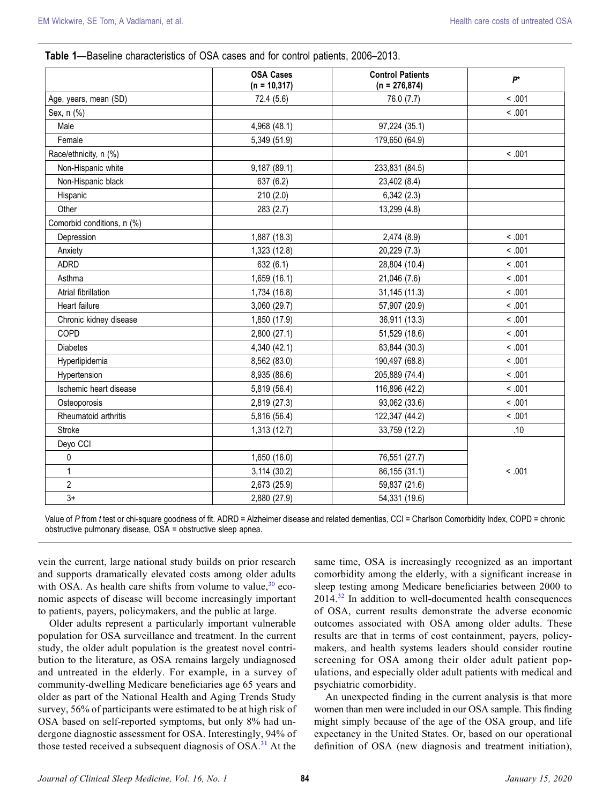### <span id="page-3-0"></span>Table 1—Baseline characteristics of OSA cases and for control patients, 2006–2013.

|                            | <b>OSA Cases</b><br>$(n = 10, 317)$ | <b>Control Patients</b><br>$(n = 276,874)$ | $P^*$  |  |
|----------------------------|-------------------------------------|--------------------------------------------|--------|--|
| Age, years, mean (SD)      | 72.4 (5.6)                          | 76.0 (7.7)                                 | < 0.01 |  |
| Sex, n (%)                 |                                     |                                            | < .001 |  |
| Male                       | 4,968 (48.1)                        | 97,224 (35.1)                              |        |  |
| Female                     | 5,349 (51.9)                        | 179,650 (64.9)                             |        |  |
| Race/ethnicity, n (%)      |                                     |                                            | < 0.01 |  |
| Non-Hispanic white         | 9,187 (89.1)                        | 233,831 (84.5)                             |        |  |
| Non-Hispanic black         | 637 (6.2)                           | 23,402 (8.4)                               |        |  |
| Hispanic                   | 210(2.0)                            | 6,342(2.3)                                 |        |  |
| Other                      | 283 (2.7)                           | 13,299 (4.8)                               |        |  |
| Comorbid conditions, n (%) |                                     |                                            |        |  |
| Depression                 | 1,887 (18.3)                        | 2,474 (8.9)                                | < .001 |  |
| Anxiety                    | 1,323 (12.8)                        | 20,229 (7.3)                               | < 0.01 |  |
| <b>ADRD</b>                | 632(6.1)                            | 28,804 (10.4)                              | < .001 |  |
| Asthma                     | 1,659 (16.1)                        | 21,046 (7.6)                               | < .001 |  |
| Atrial fibrillation        | 1,734 (16.8)                        | 31,145 (11.3)                              | < 0.01 |  |
| Heart failure              | 3,060 (29.7)                        | 57,907 (20.9)                              | < .001 |  |
| Chronic kidney disease     | 1,850 (17.9)                        | 36,911 (13.3)                              | < .001 |  |
| COPD                       | 2,800 (27.1)                        | 51,529 (18.6)                              | < .001 |  |
| <b>Diabetes</b>            | 4,340 (42.1)                        | 83,844 (30.3)                              | < .001 |  |
| Hyperlipidemia             | 8,562 (83.0)                        | 190,497 (68.8)                             | < .001 |  |
| Hypertension               | 8,935 (86.6)                        | 205,889 (74.4)                             | < 0.01 |  |
| Ischemic heart disease     | 5,819 (56.4)                        | 116,896 (42.2)                             | < .001 |  |
| Osteoporosis               | 2,819 (27.3)                        | 93,062 (33.6)                              | < .001 |  |
| Rheumatoid arthritis       | 5,816 (56.4)                        | 122,347 (44.2)                             | < .001 |  |
| <b>Stroke</b>              | 1,313(12.7)                         | 33,759 (12.2)                              | .10    |  |
| Deyo CCI                   |                                     |                                            |        |  |
| 0                          | 1,650(16.0)                         | 76,551 (27.7)                              |        |  |
| $\mathbf{1}$               | 3,114(30.2)                         | 86,155 (31.1)                              | < .001 |  |
| $\overline{2}$             | 2,673 (25.9)                        | 59,837 (21.6)                              |        |  |
| $3+$                       | 2,880 (27.9)                        | 54,331 (19.6)                              |        |  |

Value of P from t test or chi-square goodness of fit. ADRD = Alzheimer disease and related dementias, CCI = Charlson Comorbidity Index, COPD = chronic obstructive pulmonary disease, OSA = obstructive sleep apnea.

vein the current, large national study builds on prior research and supports dramatically elevated costs among older adults with OSA. As health care shifts from volume to value, $30$  economic aspects of disease will become increasingly important to patients, payers, policymakers, and the public at large.

Older adults represent a particularly important vulnerable population for OSA surveillance and treatment. In the current study, the older adult population is the greatest novel contribution to the literature, as OSA remains largely undiagnosed and untreated in the elderly. For example, in a survey of community-dwelling Medicare beneficiaries age 65 years and older as part of the National Health and Aging Trends Study survey, 56% of participants were estimated to be at high risk of OSA based on self-reported symptoms, but only 8% had undergone diagnostic assessment for OSA. Interestingly, 94% of those tested received a subsequent diagnosis of  $OSA<sup>31</sup>$  $OSA<sup>31</sup>$  $OSA<sup>31</sup>$  At the

same time, OSA is increasingly recognized as an important comorbidity among the elderly, with a significant increase in sleep testing among Medicare beneficiaries between 2000 to  $2014<sup>32</sup>$  $2014<sup>32</sup>$  $2014<sup>32</sup>$  In addition to well-documented health consequences of OSA, current results demonstrate the adverse economic outcomes associated with OSA among older adults. These results are that in terms of cost containment, payers, policymakers, and health systems leaders should consider routine screening for OSA among their older adult patient populations, and especially older adult patients with medical and psychiatric comorbidity.

An unexpected finding in the current analysis is that more women than men were included in our OSA sample. This finding might simply because of the age of the OSA group, and life expectancy in the United States. Or, based on our operational definition of OSA (new diagnosis and treatment initiation),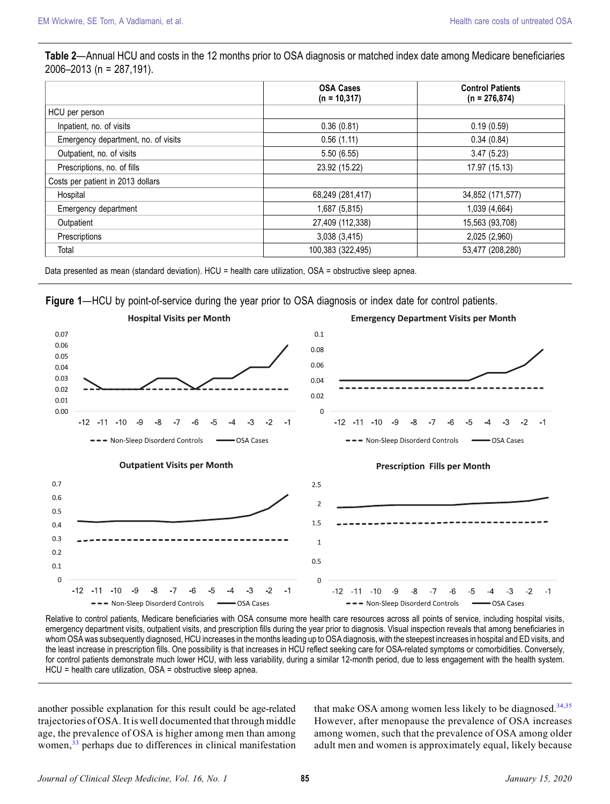# <span id="page-4-0"></span>Table 2—Annual HCU and costs in the 12 months prior to OSA diagnosis or matched index date among Medicare beneficiaries 2006–2013 (n = 287,191).

|                                     | <b>OSA Cases</b><br>$(n = 10, 317)$ | <b>Control Patients</b><br>$(n = 276,874)$ |
|-------------------------------------|-------------------------------------|--------------------------------------------|
| HCU per person                      |                                     |                                            |
| Inpatient, no. of visits            | 0.36(0.81)                          | 0.19(0.59)                                 |
| Emergency department, no. of visits | 0.56(1.11)                          | 0.34(0.84)                                 |
| Outpatient, no. of visits           | 5.50 (6.55)                         | 3.47(5.23)                                 |
| Prescriptions, no. of fills         | 23.92 (15.22)                       | 17.97 (15.13)                              |
| Costs per patient in 2013 dollars   |                                     |                                            |
| Hospital                            | 68,249 (281,417)                    | 34,852 (171,577)                           |
| Emergency department                | 1,687 (5,815)                       | 1,039 (4,664)                              |
| Outpatient                          | 27,409 (112,338)                    | 15,563 (93,708)                            |
| Prescriptions                       | 3,038(3,415)                        | 2,025 (2,960)                              |
| Total                               | 100,383 (322,495)                   | 53,477 (208,280)                           |

Data presented as mean (standard deviation). HCU = health care utilization, OSA = obstructive sleep apnea.

Figure 1—HCU by point-of-service during the year prior to OSA diagnosis or index date for control patients.



Relative to control patients, Medicare beneficiaries with OSA consume more health care resources across all points of service, including hospital visits, emergency department visits, outpatient visits, and prescription fills during the year prior to diagnosis. Visual inspection reveals that among beneficiaries in whom OSA was subsequently diagnosed, HCU increases in the months leading up to OSA diagnosis, with the steepest increases in hospital and ED visits, and the least increase in prescription fills. One possibility is that increases in HCU reflect seeking care for OSA-related symptoms or comorbidities. Conversely, for control patients demonstrate much lower HCU, with less variability, during a similar 12-month period, due to less engagement with the health system. HCU = health care utilization, OSA = obstructive sleep apnea.

another possible explanation for this result could be age-related trajectories of OSA. It is well documented that through middle age, the prevalence of OSA is higher among men than among women,<sup>[33](#page-7-0)</sup> perhaps due to differences in clinical manifestation that make OSA among women less likely to be diagnosed.<sup>[34,35](#page-7-0)</sup> However, after menopause the prevalence of OSA increases among women, such that the prevalence of OSA among older adult men and women is approximately equal, likely because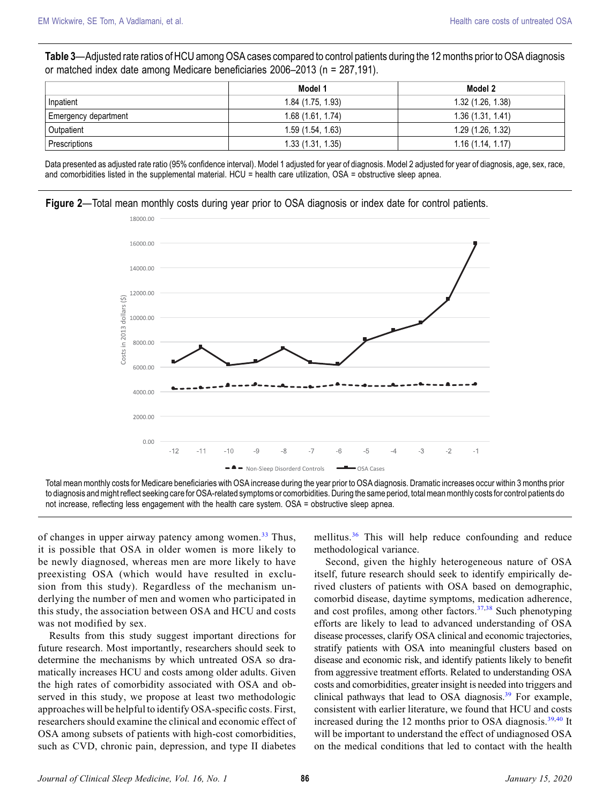<span id="page-5-0"></span>Table 3—Adjusted rate ratios of HCU among OSA cases compared to control patients during the 12 months prior to OSA diagnosis or matched index date among Medicare beneficiaries 2006–2013 (n = 287,191).

|                      | Model 1           | Model 2           |
|----------------------|-------------------|-------------------|
| Inpatient            | 1.84 (1.75, 1.93) | 1.32(1.26, 1.38)  |
| Emergency department | 1.68(1.61, 1.74)  | 1.36(1.31, 1.41)  |
| Outpatient           | 1.59(1.54, 1.63)  | 1.29 (1.26, 1.32) |
| Prescriptions        | 1.33 (1.31, 1.35) | 1.16(1.14, 1.17)  |

Data presented as adjusted rate ratio (95% confidence interval). Model 1 adjusted for year of diagnosis. Model 2 adjusted for year of diagnosis, age, sex, race, and comorbidities listed in the supplemental material. HCU = health care utilization, OSA = obstructive sleep apnea.





Total mean monthly costs for Medicare beneficiaries with OSA increase during the year prior to OSA diagnosis. Dramatic increases occur within 3 months prior to diagnosis and might reflect seeking care for OSA-related symptoms or comorbidities. During the same period, total mean monthly costs for control patients do not increase, reflecting less engagement with the health care system. OSA = obstructive sleep apnea.

of changes in upper airway patency among women.<sup>[33](#page-7-0)</sup> Thus, it is possible that OSA in older women is more likely to be newly diagnosed, whereas men are more likely to have preexisting OSA (which would have resulted in exclusion from this study). Regardless of the mechanism underlying the number of men and women who participated in this study, the association between OSA and HCU and costs was not modified by sex.

Results from this study suggest important directions for future research. Most importantly, researchers should seek to determine the mechanisms by which untreated OSA so dramatically increases HCU and costs among older adults. Given the high rates of comorbidity associated with OSA and observed in this study, we propose at least two methodologic approaches will be helpful to identify OSA-specific costs. First, researchers should examine the clinical and economic effect of OSA among subsets of patients with high-cost comorbidities, such as CVD, chronic pain, depression, and type II diabetes mellitus.[36](#page-7-0) This will help reduce confounding and reduce methodological variance.

Second, given the highly heterogeneous nature of OSA itself, future research should seek to identify empirically derived clusters of patients with OSA based on demographic, comorbid disease, daytime symptoms, medication adherence, and cost profiles, among other factors. $37,38$  $37,38$  $37,38$  Such phenotyping efforts are likely to lead to advanced understanding of OSA disease processes, clarify OSA clinical and economic trajectories, stratify patients with OSA into meaningful clusters based on disease and economic risk, and identify patients likely to benefit from aggressive treatment efforts. Related to understanding OSA costs and comorbidities, greater insight is needed into triggers and clinical pathways that lead to OSA diagnosis. $39$  For example, consistent with earlier literature, we found that HCU and costs increased during the 12 months prior to OSA diagnosis. $39,40$  $39,40$  It will be important to understand the effect of undiagnosed OSA on the medical conditions that led to contact with the health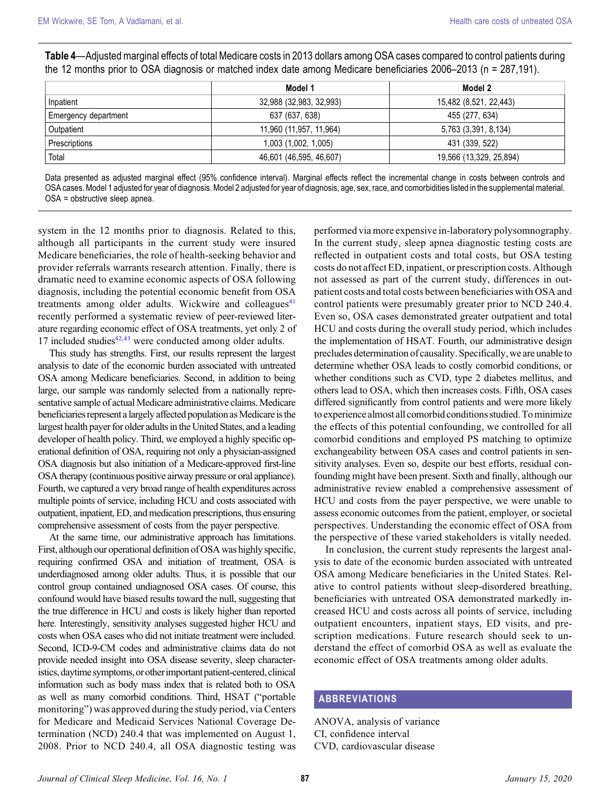<span id="page-6-0"></span>

| Table 4—Adjusted marginal effects of total Medicare costs in 2013 dollars among OSA cases compared to control patients during |
|-------------------------------------------------------------------------------------------------------------------------------|
| the 12 months prior to OSA diagnosis or matched index date among Medicare beneficiaries 2006–2013 (n = 287,191).              |

|                      | Model 1                 | Model 2                 |
|----------------------|-------------------------|-------------------------|
| Inpatient            | 32,988 (32,983, 32,993) | 15,482 (8,521, 22,443)  |
| Emergency department | 637 (637, 638)          | 455 (277, 634)          |
| Outpatient           | 11,960 (11,957, 11,964) | 5,763 (3,391, 8,134)    |
| Prescriptions        | 1,003 (1,002, 1,005)    | 431 (339, 522)          |
| Total                | 46,601 (46,595, 46,607) | 19,566 (13,329, 25,894) |

Data presented as adjusted marginal effect (95% confidence interval). Marginal effects reflect the incremental change in costs between controls and OSA cases. Model 1 adjusted for year of diagnosis. Model 2 adjusted for year of diagnosis, age, sex, race, and comorbidities listed in the supplementalmaterial. OSA = obstructive sleep apnea.

system in the 12 months prior to diagnosis. Related to this, although all participants in the current study were insured Medicare beneficiaries, the role of health-seeking behavior and provider referrals warrants research attention. Finally, there is dramatic need to examine economic aspects of OSA following diagnosis, including the potential economic benefit from OSA treatments among older adults. Wickwire and colleagues $41$ recently performed a systematic review of peer-reviewed literature regarding economic effect of OSA treatments, yet only 2 of 17 included studies $42,43$  were conducted among older adults.

This study has strengths. First, our results represent the largest analysis to date of the economic burden associated with untreated OSA among Medicare beneficiaries. Second, in addition to being large, our sample was randomly selected from a nationally representative sample of actual Medicare administrative claims. Medicare beneficiaries represent a largely affected population as Medicare is the largest health payer for older adults in the United States, and a leading developer of health policy. Third, we employed a highly specific operational definition of OSA, requiring not only a physician-assigned OSA diagnosis but also initiation of a Medicare-approved first-line OSA therapy (continuous positive airway pressure or oral appliance). Fourth, we captured a very broad range of health expenditures across multiple points of service, including HCU and costs associated with outpatient, inpatient, ED, and medication prescriptions, thus ensuring comprehensive assessment of costs from the payer perspective.

At the same time, our administrative approach has limitations. First, although our operational definition of OSA was highly specific, requiring confirmed OSA and initiation of treatment, OSA is underdiagnosed among older adults. Thus, it is possible that our control group contained undiagnosed OSA cases. Of course, this confound would have biased results toward the null, suggesting that the true difference in HCU and costs is likely higher than reported here. Interestingly, sensitivity analyses suggested higher HCU and costs when OSA cases who did not initiate treatment were included. Second, ICD-9-CM codes and administrative claims data do not provide needed insight into OSA disease severity, sleep characteristics, daytime symptoms, or other important patient-centered, clinical information such as body mass index that is related both to OSA as well as many comorbid conditions. Third, HSAT ("portable monitoring") was approved during the study period, via Centers for Medicare and Medicaid Services National Coverage Determination (NCD) 240.4 that was implemented on August 1, 2008. Prior to NCD 240.4, all OSA diagnostic testing was

performed via more expensive in-laboratory polysomnography. In the current study, sleep apnea diagnostic testing costs are reflected in outpatient costs and total costs, but OSA testing costs do not affect ED, inpatient, or prescription costs. Although not assessed as part of the current study, differences in outpatient costs and total costs between beneficiaries with OSA and control patients were presumably greater prior to NCD 240.4. Even so, OSA cases demonstrated greater outpatient and total HCU and costs during the overall study period, which includes the implementation of HSAT. Fourth, our administrative design precludes determination of causality. Specifically, we are unableto determine whether OSA leads to costly comorbid conditions, or whether conditions such as CVD, type 2 diabetes mellitus, and others lead to OSA, which then increases costs. Fifth, OSA cases differed significantly from control patients and were more likely to experience almost all comorbid conditions studied. To minimize the effects of this potential confounding, we controlled for all comorbid conditions and employed PS matching to optimize exchangeability between OSA cases and control patients in sensitivity analyses. Even so, despite our best efforts, residual confounding might have been present. Sixth and finally, although our administrative review enabled a comprehensive assessment of HCU and costs from the payer perspective, we were unable to assess economic outcomes from the patient, employer, or societal perspectives. Understanding the economic effect of OSA from the perspective of these varied stakeholders is vitally needed.

In conclusion, the current study represents the largest analysis to date of the economic burden associated with untreated OSA among Medicare beneficiaries in the United States. Relative to control patients without sleep-disordered breathing, beneficiaries with untreated OSA demonstrated markedly increased HCU and costs across all points of service, including outpatient encounters, inpatient stays, ED visits, and prescription medications. Future research should seek to understand the effect of comorbid OSA as well as evaluate the economic effect of OSA treatments among older adults.

# ABBREVIATIONS

ANOVA, analysis of variance CI, confidence interval CVD, cardiovascular disease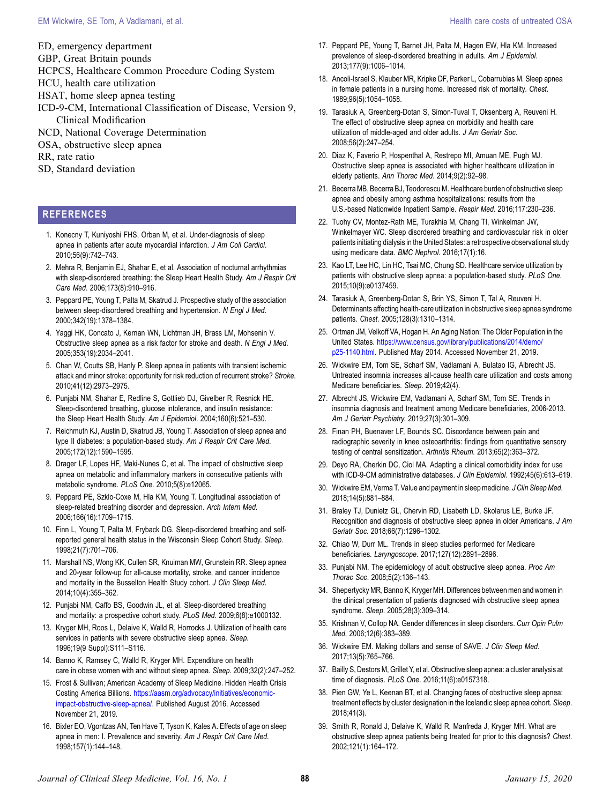### <span id="page-7-0"></span>EM Wickwire, SE Tom, A Vadlamani, et al. https://www.chare.com/setter/education/setter/education/setter/education/setter/education/setter/education/setter/education/setter/education/setter/education/setter/education/setter

- ED, emergency department
- GBP, Great Britain pounds
- HCPCS, Healthcare Common Procedure Coding System
- HCU, health care utilization
- HSAT, home sleep apnea testing
- ICD-9-CM, International Classification of Disease, Version 9, Clinical Modification
- NCD, National Coverage Determination
- OSA, obstructive sleep apnea
- RR, rate ratio
- SD, Standard deviation

## REFERENCES

- 1. Konecny T, Kuniyoshi FHS, Orban M, et al. Under-diagnosis of sleep apnea in patients after acute myocardial infarction. J Am Coll Cardiol. 2010;56(9):742–743.
- 2. Mehra R, Benjamin EJ, Shahar E, et al. Association of nocturnal arrhythmias with sleep-disordered breathing: the Sleep Heart Health Study. Am J Respir Crit Care Med. 2006;173(8):910–916.
- 3. Peppard PE, Young T, Palta M, Skatrud J. Prospective study of the association between sleep-disordered breathing and hypertension. N Engl J Med. 2000;342(19):1378–1384.
- 4. Yaggi HK, Concato J, Kernan WN, Lichtman JH, Brass LM, Mohsenin V. Obstructive sleep apnea as a risk factor for stroke and death. N Engl J Med. 2005;353(19):2034–2041.
- 5. Chan W, Coutts SB, Hanly P. Sleep apnea in patients with transient ischemic attack and minor stroke: opportunity for risk reduction of recurrent stroke? Stroke. 2010;41(12):2973–2975.
- 6. Punjabi NM, Shahar E, Redline S, Gottlieb DJ, Givelber R, Resnick HE. Sleep-disordered breathing, glucose intolerance, and insulin resistance: the Sleep Heart Health Study. Am J Epidemiol. 2004;160(6):521–530.
- 7. Reichmuth KJ, Austin D, Skatrud JB, Young T. Association of sleep apnea and type II diabetes: a population-based study. Am J Respir Crit Care Med. 2005;172(12):1590–1595.
- 8. Drager LF, Lopes HF, Maki-Nunes C, et al. The impact of obstructive sleep apnea on metabolic and inflammatory markers in consecutive patients with metabolic syndrome. PLoS One. 2010;5(8):e12065.
- 9. Peppard PE, Szklo-Coxe M, Hla KM, Young T. Longitudinal association of sleep-related breathing disorder and depression. Arch Intern Med. 2006;166(16):1709–1715.
- 10. Finn L, Young T, Palta M, Fryback DG. Sleep-disordered breathing and selfreported general health status in the Wisconsin Sleep Cohort Study. Sleep. 1998;21(7):701–706.
- 11. Marshall NS, Wong KK, Cullen SR, Knuiman MW, Grunstein RR. Sleep apnea and 20-year follow-up for all-cause mortality, stroke, and cancer incidence and mortality in the Busselton Health Study cohort. J Clin Sleep Med. 2014;10(4):355–362.
- 12. Punjabi NM, Caffo BS, Goodwin JL, et al. Sleep-disordered breathing and mortality: a prospective cohort study. PLoS Med. 2009;6(8):e1000132.
- 13. Kryger MH, Roos L, Delaive K, Walld R, Horrocks J. Utilization of health care services in patients with severe obstructive sleep apnea. Sleep. 1996;19(9 Suppl):S111–S116.
- 14. Banno K, Ramsey C, Walld R, Kryger MH. Expenditure on health care in obese women with and without sleep apnea. Sleep. 2009;32(2):247–252.
- 15. Frost & Sullivan; American Academy of Sleep Medicine. Hidden Health Crisis Costing America Billions. [https://aasm.org/advocacy/initiatives/economic](https://aasm.org/advocacy/initiatives/economic-impact-obstructive-sleep-apnea/)[impact-obstructive-sleep-apnea/](https://aasm.org/advocacy/initiatives/economic-impact-obstructive-sleep-apnea/). Published August 2016. Accessed November 21, 2019.
- 16. Bixler EO, Vgontzas AN, Ten Have T, Tyson K, Kales A. Effects of age on sleep apnea in men: I. Prevalence and severity. Am J Respir Crit Care Med. 1998;157(1):144–148.
- 17. Peppard PE, Young T, Barnet JH, Palta M, Hagen EW, Hla KM. Increased prevalence of sleep-disordered breathing in adults. Am J Epidemiol. 2013;177(9):1006–1014.
- 18. Ancoli-Israel S, Klauber MR, Kripke DF, Parker L, Cobarrubias M. Sleep apnea in female patients in a nursing home. Increased risk of mortality. Chest. 1989;96(5):1054–1058.
- 19. Tarasiuk A, Greenberg-Dotan S, Simon-Tuval T, Oksenberg A, Reuveni H. The effect of obstructive sleep apnea on morbidity and health care utilization of middle-aged and older adults. J Am Geriatr Soc. 2008;56(2):247–254.
- 20. Diaz K, Faverio P, Hospenthal A, Restrepo MI, Amuan ME, Pugh MJ. Obstructive sleep apnea is associated with higher healthcare utilization in elderly patients. Ann Thorac Med. 2014;9(2):92–98.
- 21. Becerra MB, Becerra BJ, Teodorescu M. Healthcare burden of obstructive sleep apnea and obesity among asthma hospitalizations: results from the U.S.-based Nationwide Inpatient Sample. Respir Med. 2016;117:230–236.
- 22. Tuohy CV, Montez-Rath ME, Turakhia M, Chang TI, Winkelman JW, Winkelmayer WC. Sleep disordered breathing and cardiovascular risk in older patients initiating dialysis in the United States: a retrospective observational study using medicare data. BMC Nephrol. 2016;17(1):16.
- 23. Kao LT, Lee HC, Lin HC, Tsai MC, Chung SD. Healthcare service utilization by patients with obstructive sleep apnea: a population-based study. PLoS One. 2015;10(9):e0137459.
- 24. Tarasiuk A, Greenberg-Dotan S, Brin YS, Simon T, Tal A, Reuveni H. Determinants affecting health-care utilization in obstructive sleep apnea syndrome patients. Chest. 2005;128(3):1310–1314.
- 25. Ortman JM, Velkoff VA, Hogan H. An Aging Nation: The Older Population in the United States. [https://www.census.gov/library/publications/2014/demo/](https://www.census.gov/library/publications/2014/demo/p25-1140.html) [p25-1140.html.](https://www.census.gov/library/publications/2014/demo/p25-1140.html) Published May 2014. Accessed November 21, 2019.
- 26. Wickwire EM, Tom SE, Scharf SM, Vadlamani A, Bulatao IG, Albrecht JS. Untreated insomnia increases all-cause health care utilization and costs among Medicare beneficiaries. Sleep. 2019;42(4).
- 27. Albrecht JS, Wickwire EM, Vadlamani A, Scharf SM, Tom SE. Trends in insomnia diagnosis and treatment among Medicare beneficiaries, 2006-2013. Am J Geriatr Psychiatry. 2019;27(3):301–309.
- 28. Finan PH, Buenaver LF, Bounds SC. Discordance between pain and radiographic severity in knee osteoarthritis: findings from quantitative sensory testing of central sensitization. Arthritis Rheum. 2013;65(2):363–372.
- 29. Deyo RA, Cherkin DC, Ciol MA. Adapting a clinical comorbidity index for use with ICD-9-CM administrative databases. J Clin Epidemiol. 1992;45(6):613-619.
- 30. Wickwire EM, Verma T. Value and payment in sleep medicine. J Clin Sleep Med. 2018;14(5):881–884.
- 31. Braley TJ, Dunietz GL, Chervin RD, Lisabeth LD, Skolarus LE, Burke JF. Recognition and diagnosis of obstructive sleep apnea in older Americans. J Am Geriatr Soc. 2018;66(7):1296–1302.
- 32. Chiao W, Durr ML. Trends in sleep studies performed for Medicare beneficiaries. Laryngoscope. 2017;127(12):2891–2896.
- 33. Punjabi NM. The epidemiology of adult obstructive sleep apnea. Proc Am Thorac Soc. 2008;5(2):136–143.
- 34. Shepertycky MR, Banno K, Kryger MH. Differences between men and women in the clinical presentation of patients diagnosed with obstructive sleep apnea syndrome. Sleep. 2005;28(3):309–314.
- 35. Krishnan V, Collop NA. Gender differences in sleep disorders. Curr Opin Pulm Med. 2006;12(6):383–389.
- 36. Wickwire EM. Making dollars and sense of SAVE. J Clin Sleep Med. 2017;13(5):765–766.
- 37. Bailly S, Destors M, Grillet Y, et al. Obstructive sleep apnea: a cluster analysis at time of diagnosis. PLoS One. 2016;11(6):e0157318.
- 38. Pien GW, Ye L, Keenan BT, et al. Changing faces of obstructive sleep apnea: treatment effects by cluster designation in the Icelandic sleep apnea cohort. Sleep. 2018;41(3).
- 39. Smith R, Ronald J, Delaive K, Walld R, Manfreda J, Kryger MH. What are obstructive sleep apnea patients being treated for prior to this diagnosis? Chest. 2002;121(1):164–172.